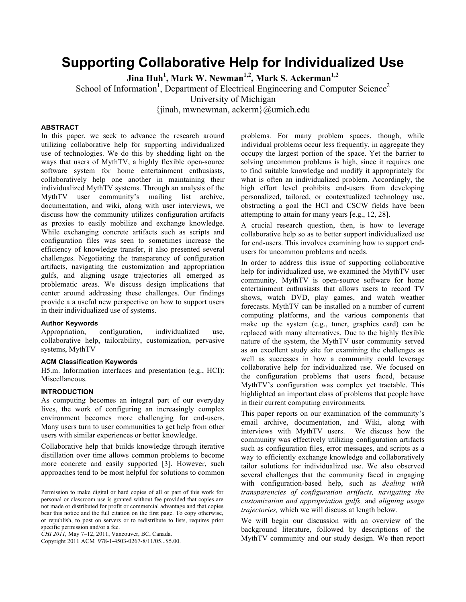# **Supporting Collaborative Help for Individualized Use**

**Jina Huh<sup>1</sup> , Mark W. Newman1,2, Mark S. Ackerman1,2**

School of Information<sup>1</sup>, Department of Electrical Engineering and Computer Science<sup>2</sup>

University of Michigan

{jinah, mwnewman, ackerm}@umich.edu

#### **ABSTRACT**

In this paper, we seek to advance the research around utilizing collaborative help for supporting individualized use of technologies. We do this by shedding light on the ways that users of MythTV, a highly flexible open-source software system for home entertainment enthusiasts, collaboratively help one another in maintaining their individualized MythTV systems. Through an analysis of the MythTV user community's mailing list archive, documentation, and wiki, along with user interviews, we discuss how the community utilizes configuration artifacts as proxies to easily mobilize and exchange knowledge. While exchanging concrete artifacts such as scripts and configuration files was seen to sometimes increase the efficiency of knowledge transfer, it also presented several challenges. Negotiating the transparency of configuration artifacts, navigating the customization and appropriation gulfs, and aligning usage trajectories all emerged as problematic areas. We discuss design implications that center around addressing these challenges. Our findings provide a a useful new perspective on how to support users in their individualized use of systems.

#### **Author Keywords**

Appropriation, configuration, individualized use, collaborative help, tailorability, customization, pervasive systems, MythTV

#### **ACM Classification Keywords**

H5.m. Information interfaces and presentation (e.g., HCI): Miscellaneous.

## **INTRODUCTION**

As computing becomes an integral part of our everyday lives, the work of configuring an increasingly complex environment becomes more challenging for end-users. Many users turn to user communities to get help from other users with similar experiences or better knowledge.

Collaborative help that builds knowledge through iterative distillation over time allows common problems to become more concrete and easily supported [3]. However, such approaches tend to be most helpful for solutions to common

*CHI 2011,* May 7–12, 2011, Vancouver, BC, Canada.

Copyright 2011 ACM 978-1-4503-0267-8/11/05...\$5.00.

problems. For many problem spaces, though, while individual problems occur less frequently, in aggregate they occupy the largest portion of the space. Yet the barrier to solving uncommon problems is high, since it requires one to find suitable knowledge and modify it appropriately for what is often an individualized problem. Accordingly, the high effort level prohibits end-users from developing personalized, tailored, or contextualized technology use, obstructing a goal the HCI and CSCW fields have been attempting to attain for many years [e.g., 12, 28].

A crucial research question, then, is how to leverage collaborative help so as to better support individualized use for end-users. This involves examining how to support endusers for uncommon problems and needs.

In order to address this issue of supporting collaborative help for individualized use, we examined the MythTV user community. MythTV is open-source software for home entertainment enthusiasts that allows users to record TV shows, watch DVD, play games, and watch weather forecasts. MythTV can be installed on a number of current computing platforms, and the various components that make up the system (e.g., tuner, graphics card) can be replaced with many alternatives. Due to the highly flexible nature of the system, the MythTV user community served as an excellent study site for examining the challenges as well as successes in how a community could leverage collaborative help for individualized use. We focused on the configuration problems that users faced, because MythTV's configuration was complex yet tractable. This highlighted an important class of problems that people have in their current computing environments.

This paper reports on our examination of the community's email archive, documentation, and Wiki, along with interviews with MythTV users. We discuss how the community was effectively utilizing configuration artifacts such as configuration files, error messages, and scripts as a way to efficiently exchange knowledge and collaboratively tailor solutions for individualized use. We also observed several challenges that the community faced in engaging with configuration-based help, such as *dealing with transparencies of configuration artifacts, navigating the customization and appropriation gulfs,* and *aligning usage trajectories,* which we will discuss at length below*.* 

We will begin our discussion with an overview of the background literature, followed by descriptions of the MythTV community and our study design. We then report

Permission to make digital or hard copies of all or part of this work for personal or classroom use is granted without fee provided that copies are not made or distributed for profit or commercial advantage and that copies bear this notice and the full citation on the first page. To copy otherwise, or republish, to post on servers or to redistribute to lists, requires prior specific permission and/or a fee.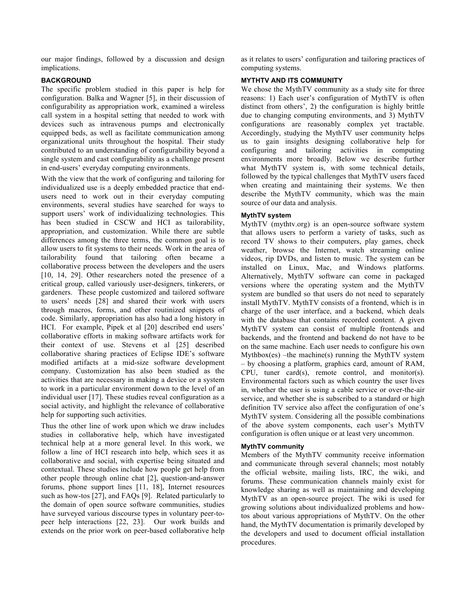our major findings, followed by a discussion and design implications.

## **BACKGROUND**

The specific problem studied in this paper is help for configuration. Balka and Wagner [5], in their discussion of configurability as appropriation work, examined a wireless call system in a hospital setting that needed to work with devices such as intravenous pumps and electronically equipped beds, as well as facilitate communication among organizational units throughout the hospital. Their study contributed to an understanding of configurability beyond a single system and cast configurability as a challenge present in end-users' everyday computing environments.

With the view that the work of configuring and tailoring for individualized use is a deeply embedded practice that endusers need to work out in their everyday computing environments, several studies have searched for ways to support users' work of individualizing technologies. This has been studied in CSCW and HCI as tailorability, appropriation, and customization. While there are subtle differences among the three terms, the common goal is to allow users to fit systems to their needs. Work in the area of tailorability found that tailoring often became a collaborative process between the developers and the users [10, 14, 29]. Other researchers noted the presence of a critical group, called variously user-designers, tinkerers, or gardeners. These people customized and tailored software to users' needs [28] and shared their work with users through macros, forms, and other routinized snippets of code. Similarly, appropriation has also had a long history in HCI. For example, Pipek et al [20] described end users' collaborative efforts in making software artifacts work for their context of use. Stevens et al [25] described collaborative sharing practices of Eclipse IDE's software modified artifacts at a mid-size software development company. Customization has also been studied as the activities that are necessary in making a device or a system to work in a particular environment down to the level of an individual user [17]. These studies reveal configuration as a social activity, and highlight the relevance of collaborative help for supporting such activities.

Thus the other line of work upon which we draw includes studies in collaborative help, which have investigated technical help at a more general level. In this work, we follow a line of HCI research into help, which sees it as collaborative and social, with expertise being situated and contextual. These studies include how people get help from other people through online chat [2], question-and-answer forums, phone support lines [11, 18], Internet resources such as how-tos [27], and FAQs [9]. Related particularly to the domain of open source software communities, studies have surveyed various discourse types in voluntary peer-topeer help interactions [22, 23]. Our work builds and extends on the prior work on peer-based collaborative help

as it relates to users' configuration and tailoring practices of computing systems.

# **MYTHTV AND ITS COMMUNITY**

We chose the MythTV community as a study site for three reasons: 1) Each user's configuration of MythTV is often distinct from others', 2) the configuration is highly brittle due to changing computing environments, and 3) MythTV configurations are reasonably complex yet tractable. Accordingly, studying the MythTV user community helps us to gain insights designing collaborative help for configuring and tailoring activities in computing environments more broadly. Below we describe further what MythTV system is, with some technical details, followed by the typical challenges that MythTV users faced when creating and maintaining their systems. We then describe the MythTV community, which was the main source of our data and analysis.

# **MythTV system**

MythTV (mythtv.org) is an open-source software system that allows users to perform a variety of tasks, such as record TV shows to their computers, play games, check weather, browse the Internet, watch streaming online videos, rip DVDs, and listen to music. The system can be installed on Linux, Mac, and Windows platforms. Alternatively, MythTV software can come in packaged versions where the operating system and the MythTV system are bundled so that users do not need to separately install MythTV. MythTV consists of a frontend, which is in charge of the user interface, and a backend, which deals with the database that contains recorded content. A given MythTV system can consist of multiple frontends and backends, and the frontend and backend do not have to be on the same machine. Each user needs to configure his own  $Mythbox(es)$  –the machine(s) running the MythTV system – by choosing a platform, graphics card, amount of RAM, CPU, tuner card $(s)$ , remote control, and monitor $(s)$ . Environmental factors such as which country the user lives in, whether the user is using a cable service or over-the-air service, and whether she is subscribed to a standard or high definition TV service also affect the configuration of one's MythTV system. Considering all the possible combinations of the above system components, each user's MythTV configuration is often unique or at least very uncommon.

## **MythTV community**

Members of the MythTV community receive information and communicate through several channels; most notably the official website, mailing lists, IRC, the wiki, and forums. These communication channels mainly exist for knowledge sharing as well as maintaining and developing MythTV as an open-source project. The wiki is used for growing solutions about individualized problems and howtos about various appropriations of MythTV. On the other hand, the MythTV documentation is primarily developed by the developers and used to document official installation procedures.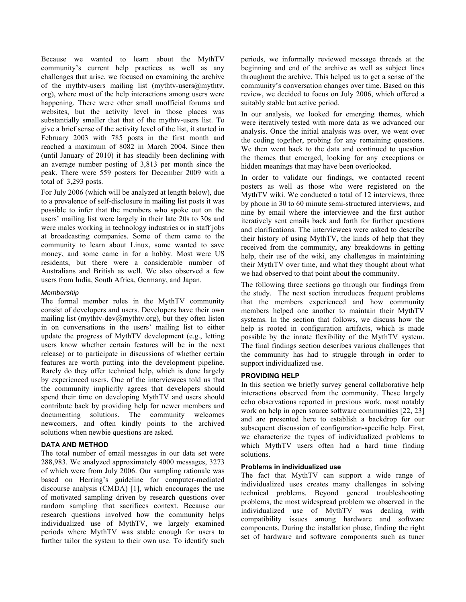Because we wanted to learn about the MythTV community's current help practices as well as any challenges that arise, we focused on examining the archive of the mythtv-users mailing list  $(mythtv-users@mythtv)$ . org), where most of the help interactions among users were happening. There were other small unofficial forums and websites, but the activity level in those places was substantially smaller that that of the mythtv-users list. To give a brief sense of the activity level of the list, it started in February 2003 with 785 posts in the first month and reached a maximum of 8082 in March 2004. Since then (until January of 2010) it has steadily been declining with an average number posting of 3,813 per month since the peak. There were 559 posters for December 2009 with a total of 3,293 posts.

For July 2006 (which will be analyzed at length below), due to a prevalence of self-disclosure in mailing list posts it was possible to infer that the members who spoke out on the users' mailing list were largely in their late 20s to 30s and were males working in technology industries or in staff jobs at broadcasting companies. Some of them came to the community to learn about Linux, some wanted to save money, and some came in for a hobby. Most were US residents, but there were a considerable number of Australians and British as well. We also observed a few users from India, South Africa, Germany, and Japan.

## *Membership*

The formal member roles in the MythTV community consist of developers and users. Developers have their own mailing list (mythtv-dev@mythtv.org), but they often listen in on conversations in the users' mailing list to either update the progress of MythTV development (e.g., letting users know whether certain features will be in the next release) or to participate in discussions of whether certain features are worth putting into the development pipeline. Rarely do they offer technical help, which is done largely by experienced users. One of the interviewees told us that the community implicitly agrees that developers should spend their time on developing MythTV and users should contribute back by providing help for newer members and documenting solutions. The community welcomes newcomers, and often kindly points to the archived solutions when newbie questions are asked.

## **DATA AND METHOD**

The total number of email messages in our data set were 288,983. We analyzed approximately 4000 messages, 3273 of which were from July 2006. Our sampling rationale was based on Herring's guideline for computer-mediated discourse analysis (CMDA) [1], which encourages the use of motivated sampling driven by research questions over random sampling that sacrifices context. Because our research questions involved how the community helps individualized use of MythTV, we largely examined periods where MythTV was stable enough for users to further tailor the system to their own use. To identify such

periods, we informally reviewed message threads at the beginning and end of the archive as well as subject lines throughout the archive. This helped us to get a sense of the community's conversation changes over time. Based on this review, we decided to focus on July 2006, which offered a suitably stable but active period.

In our analysis, we looked for emerging themes, which were iteratively tested with more data as we advanced our analysis. Once the initial analysis was over, we went over the coding together, probing for any remaining questions. We then went back to the data and continued to question the themes that emerged, looking for any exceptions or hidden meanings that may have been overlooked.

In order to validate our findings, we contacted recent posters as well as those who were registered on the MythTV wiki. We conducted a total of 12 interviews, three by phone in 30 to 60 minute semi-structured interviews, and nine by email where the interviewee and the first author iteratively sent emails back and forth for further questions and clarifications. The interviewees were asked to describe their history of using MythTV, the kinds of help that they received from the community, any breakdowns in getting help, their use of the wiki, any challenges in maintaining their MythTV over time, and what they thought about what we had observed to that point about the community.

The following three sections go through our findings from the study. The next section introduces frequent problems that the members experienced and how community members helped one another to maintain their MythTV systems. In the section that follows, we discuss how the help is rooted in configuration artifacts, which is made possible by the innate flexibility of the MythTV system. The final findings section describes various challenges that the community has had to struggle through in order to support individualized use.

## **PROVIDING HELP**

In this section we briefly survey general collaborative help interactions observed from the community. These largely echo observations reported in previous work, most notably work on help in open source software communities [22, 23] and are presented here to establish a backdrop for our subsequent discussion of configuration-specific help. First, we characterize the types of individualized problems to which MythTV users often had a hard time finding solutions.

#### **Problems in individualized use**

The fact that MythTV can support a wide range of individualized uses creates many challenges in solving technical problems. Beyond general troubleshooting problems, the most widespread problem we observed in the individualized use of MythTV was dealing with compatibility issues among hardware and software components. During the installation phase, finding the right set of hardware and software components such as tuner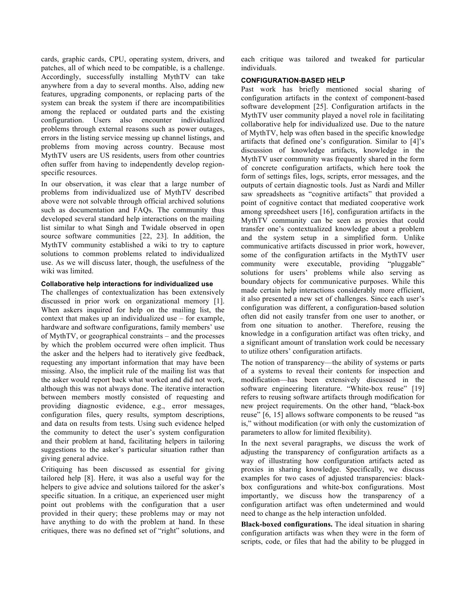cards, graphic cards, CPU, operating system, drivers, and patches, all of which need to be compatible, is a challenge. Accordingly, successfully installing MythTV can take anywhere from a day to several months. Also, adding new features, upgrading components, or replacing parts of the system can break the system if there are incompatibilities among the replaced or outdated parts and the existing configuration. Users also encounter individualized problems through external reasons such as power outages, errors in the listing service messing up channel listings, and problems from moving across country. Because most MythTV users are US residents, users from other countries often suffer from having to independently develop regionspecific resources.

In our observation, it was clear that a large number of problems from individualized use of MythTV described above were not solvable through official archived solutions such as documentation and FAQs. The community thus developed several standard help interactions on the mailing list similar to what Singh and Twidale observed in open source software communities [22, 23]. In addition, the MythTV community established a wiki to try to capture solutions to common problems related to individualized use. As we will discuss later, though, the usefulness of the wiki was limited.

## **Collaborative help interactions for individualized use**

The challenges of contextualization has been extensively discussed in prior work on organizational memory [1]. When askers inquired for help on the mailing list, the context that makes up an individualized use – for example, hardware and software configurations, family members' use of MythTV, or geographical constraints – and the processes by which the problem occurred were often implicit. Thus the asker and the helpers had to iteratively give feedback, requesting any important information that may have been missing. Also, the implicit rule of the mailing list was that the asker would report back what worked and did not work, although this was not always done. The iterative interaction between members mostly consisted of requesting and providing diagnostic evidence, e.g., error messages, configuration files, query results, symptom descriptions, and data on results from tests. Using such evidence helped the community to detect the user's system configuration and their problem at hand, facilitating helpers in tailoring suggestions to the asker's particular situation rather than giving general advice.

Critiquing has been discussed as essential for giving tailored help [8]. Here, it was also a useful way for the helpers to give advice and solutions tailored for the asker's specific situation. In a critique, an experienced user might point out problems with the configuration that a user provided in their query; these problems may or may not have anything to do with the problem at hand. In these critiques, there was no defined set of "right" solutions, and

each critique was tailored and tweaked for particular individuals.

## **CONFIGURATION-BASED HELP**

Past work has briefly mentioned social sharing of configuration artifacts in the context of component-based software development [25]. Configuration artifacts in the MythTV user community played a novel role in facilitating collaborative help for individualized use. Due to the nature of MythTV, help was often based in the specific knowledge artifacts that defined one's configuration. Similar to [4]'s discussion of knowledge artifacts, knowledge in the MythTV user community was frequently shared in the form of concrete configuration artifacts, which here took the form of settings files, logs, scripts, error messages, and the outputs of certain diagnostic tools. Just as Nardi and Miller saw spreadsheets as "cognitive artifacts" that provided a point of cognitive contact that mediated cooperative work among spreedsheet users [16], configuration artifacts in the MythTV community can be seen as proxies that could transfer one's contextualized knowledge about a problem and the system setup in a simplified form. Unlike communicative artifacts discussed in prior work, however, some of the configuration artifacts in the MythTV user community were executable, providing "pluggable" solutions for users' problems while also serving as boundary objects for communicative purposes. While this made certain help interactions considerably more efficient, it also presented a new set of challenges. Since each user's configuration was different, a configuration-based solution often did not easily transfer from one user to another, or from one situation to another. Therefore, reusing the knowledge in a configuration artifact was often tricky, and a significant amount of translation work could be necessary to utilize others' configuration artifacts.

The notion of transparency—the ability of systems or parts of a systems to reveal their contents for inspection and modification—has been extensively discussed in the software engineering literature. "White-box reuse" [19] refers to reusing software artifacts through modification for new project requirements. On the other hand, "black-box reuse" [6, 15] allows software components to be reused "as is," without modification (or with only the customization of parameters to allow for limited flexibility).

In the next several paragraphs, we discuss the work of adjusting the transparency of configuration artifacts as a way of illustrating how configuration artifacts acted as proxies in sharing knowledge. Specifically, we discuss examples for two cases of adjusted transparencies: blackbox configurations and white-box configurations. Most importantly, we discuss how the transparency of a configuration artifact was often undetermined and would need to change as the help interaction unfolded.

**Black-boxed configurations.** The ideal situation in sharing configuration artifacts was when they were in the form of scripts, code, or files that had the ability to be plugged in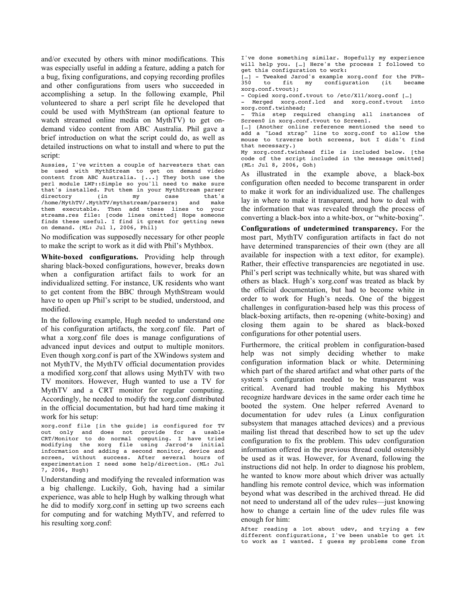and/or executed by others with minor modifications. This was especially useful in adding a feature, adding a patch for a bug, fixing configurations, and copying recording profiles and other configurations from users who succeeded in accomplishing a setup. In the following example, Phil volunteered to share a perl script file he developed that could be used with MythStream (an optional feature to watch streamed online media on MythTV) to get ondemand video content from ABC Australia. Phil gave a brief introduction on what the script could do, as well as detailed instructions on what to install and where to put the script:

Aussies, I've written a couple of harvesters that can be used with MythStream to get on demand video content from ABC Australia. [...] They both use the perl module LWP::Simple so you'll need to make sure that's installed. Put them in your MythStream parser directory (in my case that's /home/MythTV/.MythTV/mythstream/parsers) and make them executable. Then add these lines to your streams.res file: [code lines omitted] Hope someone finds these useful. I find it great for getting news on demand. (ML: Jul 1, 2006, Phil)

No modification was supposedly necessary for other people to make the script to work as it did with Phil's Mythbox.

**White-boxed configurations.** Providing help through sharing black-boxed configurations, however, breaks down when a configuration artifact fails to work for an individualized setting. For instance, UK residents who want to get content from the BBC through MythStream would have to open up Phil's script to be studied, understood, and modified.

In the following example, Hugh needed to understand one of his configuration artifacts, the xorg.conf file. Part of what a xorg.conf file does is manage configurations of advanced input devices and output to multiple monitors. Even though xorg.conf is part of the XWindows system and not MythTV, the MythTV official documentation provides a modified xorg.conf that allows using MythTV with two TV monitors. However, Hugh wanted to use a TV for MythTV and a CRT monitor for regular computing. Accordingly, he needed to modify the xorg.conf distributed in the official documentation, but had hard time making it work for his setup:

xorg.conf file [in the guide] is configured for TV out only and does not provide for a usable CRT/Monitor to do normal computing. I have tried modifying the xorg file using Jarrod's initial information and adding a second monitor, device and screen, without success. After several hours experimentation I need some help/direction. (ML: Jul 7, 2006, Hugh)

Understanding and modifying the revealed information was a big challenge. Luckily, Goh, having had a similar experience, was able to help Hugh by walking through what he did to modify xorg.conf in setting up two screens each for computing and for watching MythTV, and referred to his resulting xorg.conf:

I've done something similar. Hopefully my experience will help you. […] Here's the process I followed to get this configuration to work:

[…] - Tweaked Jarod's example xorg.conf for the PVR-<br>350 to fit my configuration (it became my configuration xorg.conf.tvout);

- Copied xorg.conf.tvout to /etc/X11/xorg.conf […]

Merged xorg.conf.lcd and xorg.conf.tvout into xorg.conf.twinhead;

This step required changing all instances of Screen0 in xorg.conf.tvout to Screen1.

[…] (Another online reference mentioned the need to add a "Load xtrap" line to xorg.conf to allow the mouse to traverse both screens, but I didn't find that necessary.)

My xorg.conf.twinhead file is included below. [the code of the script included in the message omitted] (ML: Jul 8, 2006, Goh)

As illustrated in the example above, a black-box configuration often needed to become transparent in order to make it work for an individualized use. The challenges lay in where to make it transparent, and how to deal with the information that was revealed through the process of converting a black-box into a white-box, or "white-boxing".

**Configurations of undetermined transparency.** For the most part, MythTV configuration artifacts in fact do not have determined transparencies of their own (they are all available for inspection with a text editor, for example). Rather, their effective transparencies are negotiated in use. Phil's perl script was technically white, but was shared with others as black. Hugh's xorg.conf was treated as black by the official documentation, but had to become white in order to work for Hugh's needs. One of the biggest challenges in configuration-based help was this process of black-boxing artifacts, then re-opening (white-boxing) and closing them again to be shared as black-boxed configurations for other potential users.

Furthermore, the critical problem in configuration-based help was not simply deciding whether to make configuration information black or white. Determining which part of the shared artifact and what other parts of the system's configuration needed to be transparent was critical. Avenard had trouble making his Mythbox recognize hardware devices in the same order each time he booted the system. One helper referred Avenard to documentation for udev rules (a Linux configuration subsystem that manages attached devices) and a previous mailing list thread that described how to set up the udev configuration to fix the problem. This udev configuration information offered in the previous thread could ostensibly be used as it was. However, for Avenard, following the instructions did not help. In order to diagnose his problem, he wanted to know more about which driver was actually handling his remote control device, which was information beyond what was described in the archived thread. He did not need to understand all of the udev rules—just knowing how to change a certain line of the udev rules file was enough for him:

After reading a lot about udev, and trying a few different configurations, I've been unable to get it to work as I wanted. I guess my problems come from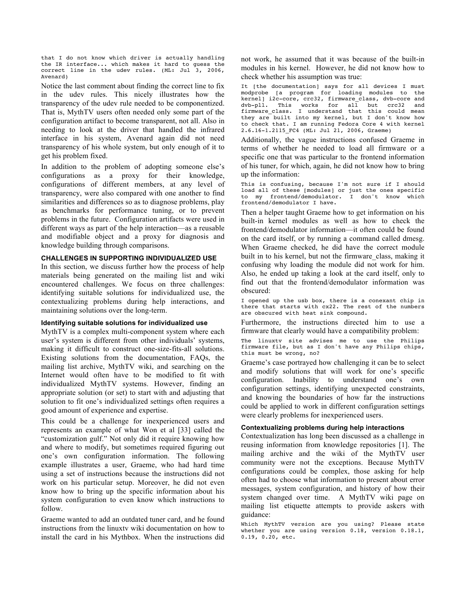that I do not know which driver is actually handling the IR interface... which makes it hard to guess the correct line in the udev rules. (ML: Jul 3, 2006, Avenard)

Notice the last comment about finding the correct line to fix in the udev rules. This nicely illustrates how the transparency of the udev rule needed to be componentized. That is, MythTV users often needed only some part of the configuration artifact to become transparent, not all. Also in needing to look at the driver that handled the infrared interface in his system, Avenard again did not need transparency of his whole system, but only enough of it to get his problem fixed.

In addition to the problem of adopting someone else's configurations as a proxy for their knowledge, configurations of different members, at any level of transparency, were also compared with one another to find similarities and differences so as to diagnose problems, play as benchmarks for performance tuning, or to prevent problems in the future. Configuration artifacts were used in different ways as part of the help interaction—as a reusable and modifiable object and a proxy for diagnosis and knowledge building through comparisons.

# **CHALLENGES IN SUPPORTING INDIVIDUALIZED USE**

In this section, we discuss further how the process of help materials being generated on the mailing list and wiki encountered challenges. We focus on three challenges: identifying suitable solutions for individualized use, the contextualizing problems during help interactions, and maintaining solutions over the long-term.

#### **Identifying suitable solutions for individualized use**

MythTV is a complex multi-component system where each user's system is different from other individuals' systems, making it difficult to construct one-size-fits-all solutions. Existing solutions from the documentation, FAQs, the mailing list archive, MythTV wiki, and searching on the Internet would often have to be modified to fit with individualized MythTV systems. However, finding an appropriate solution (or set) to start with and adjusting that solution to fit one's individualized settings often requires a good amount of experience and expertise.

This could be a challenge for inexperienced users and represents an example of what Won et al [33] called the "customization gulf." Not only did it require knowing how and where to modify, but sometimes required figuring out one's own configuration information. The following example illustrates a user, Graeme, who had hard time using a set of instructions because the instructions did not work on his particular setup. Moreover, he did not even know how to bring up the specific information about his system configuration to even know which instructions to follow.

Graeme wanted to add an outdated tuner card, and he found instructions from the linuxtv wiki documentation on how to install the card in his Mythbox. When the instructions did not work, he assumed that it was because of the built-in modules in his kernel. However, he did not know how to check whether his assumption was true:

It [the documentation] says for all devices I must modprobe [a program for loading modules to the modprose in pregram --- --<br>kernel] i2c-core, crc32, firmware\_class, dvb-core and dvb-pll. This works for all but crc32 and firmware\_class. I understand that this could mean they are built into my kernel, but I don't know how to check that. I am running Fedora Core 4 with kernel 2.6.16-1.2115\_FC4 (ML: Jul 21, 2006, Graeme)

Additionally, the vague instructions confused Graeme in terms of whether he needed to load all firmware or a specific one that was particular to the frontend information of his tuner, for which, again, he did not know how to bring up the information:

This is confusing, because I'm not sure if I should load all of these [modules] or just the ones specific to my frontend/demodulator. I don't know which frontend/demodulator I have.

Then a helper taught Graeme how to get information on his built-in kernel modules as well as how to check the frontend/demodulator information—it often could be found on the card itself, or by running a command called dmesg. When Graeme checked, he did have the correct module built in to his kernel, but not the firmware\_class, making it confusing why loading the module did not work for him. Also, he ended up taking a look at the card itself, only to find out that the frontend/demodulator information was obscured:

I opened up the usb box, there is a conexant chip in there that starts with cx22. The rest of the numbers are obscured with heat sink compound.

Furthermore, the instructions directed him to use a firmware that clearly would have a compatibility problem:

The linuxtv site advises me to use the Philips firmware file, but as I don't have any Philips chips, this must be wrong, no?

Graeme's case portrayed how challenging it can be to select and modify solutions that will work for one's specific configuration. Inability to understand one's own configuration settings, identifying unexpected constraints, and knowing the boundaries of how far the instructions could be applied to work in different configuration settings were clearly problems for inexperienced users.

#### **Contextualizing problems during help interactions**

Contextualization has long been discussed as a challenge in reusing information from knowledge repositories [1]. The mailing archive and the wiki of the MythTV user community were not the exceptions. Because MythTV configurations could be complex, those asking for help often had to choose what information to present about error messages, system configuration, and history of how their system changed over time. A MythTV wiki page on mailing list etiquette attempts to provide askers with guidance:

Which MythTV version are you using? Please state whether you are using version 0.18, version 0.18.1, 0.19, 0.20, etc.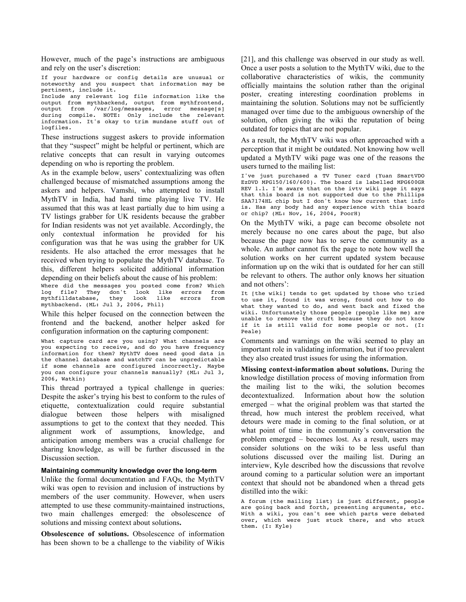However, much of the page's instructions are ambiguous and rely on the user's discretion:

If your hardware or config details are unusual or noteworthy and you suspect that information may be pertinent, include it. .<br>Include any relevant log file information like the output from mythbackend, output from mythfrontend,  $\sqrt{\varphi\ar}/\log/m$ essages, during compile. NOTE: Only include the relevant information. It's okay to trim mundane stuff out of logfiles.

These instructions suggest askers to provide information that they "suspect" might be helpful or pertinent, which are relative concepts that can result in varying outcomes depending on who is reporting the problem.

As in the example below, users' contextualizing was often challenged because of mismatched assumptions among the askers and helpers. Vamshi, who attempted to install MythTV in India, had hard time playing live TV. He assumed that this was at least partially due to him using a TV listings grabber for UK residents because the grabber for Indian residents was not yet available. Accordingly, the only contextual information he provided for his configuration was that he was using the grabber for UK residents. He also attached the error messages that he received when trying to populate the MythTV database. To this, different helpers solicited additional information depending on their beliefs about the cause of his problem:

Where did the messages you posted come from? Which<br>log file? They don't look like errors from log file? They don't look like errors from<br>mythfilldatabase, they look like errors from mythfilldatabase, they look like errors from mythbackend. (ML: Jul 3, 2006, Phil)

While this helper focused on the connection between the frontend and the backend, another helper asked for configuration information on the capturing component:

What capture card are you using? What channels are you expecting to receive, and do you have frequency .<br>information for them? MythTV does need good data in the channel database and watchTV can be unpredictable if some channels are configured incorrectly. Maybe you can configure your channels manually? (ML: Jul 3, 2006, Watkin)

This thread portrayed a typical challenge in queries: Despite the asker's trying his best to conform to the rules of etiquette, contextualization could require substantial dialogue between those helpers with misaligned assumptions to get to the context that they needed. This alignment work of assumptions, knowledge, and anticipation among members was a crucial challenge for sharing knowledge, as will be further discussed in the Discussion section.

#### **Maintaining community knowledge over the long-term**

Unlike the formal documentation and FAQs, the MythTV wiki was open to revision and inclusion of instructions by members of the user community. However, when users attempted to use these community-maintained instructions, two main challenges emerged: the obsolescence of solutions and missing context about solutions**.**

**Obsolescence of solutions.** Obsolescence of information has been shown to be a challenge to the viability of Wikis

[21], and this challenge was observed in our study as well. Once a user posts a solution to the MythTV wiki, due to the collaborative characteristics of wikis, the community officially maintains the solution rather than the original poster, creating interesting coordination problems in maintaining the solution. Solutions may not be sufficiently managed over time due to the ambiguous ownership of the solution, often giving the wiki the reputation of being outdated for topics that are not popular.

As a result, the MythTV wiki was often approached with a perception that it might be outdated. Not knowing how well updated a MythTV wiki page was one of the reasons the users turned to the mailing list:

I've just purchased a TV Tuner card (Yuan SmartVDO EzDVD MPG150/160/600). The board is labelled MPG600GR REV 1.1. I'm aware that on the ivtv wiki page it says that this board is not supported due to the Phillips SAA7174HL chip but I don't know how current that info is. Has any body had any experience with this board or chip? (ML: Nov, 16, 2004, PoorH)

On the MythTV wiki, a page can become obsolete not merely because no one cares about the page, but also because the page now has to serve the community as a whole. An author cannot fix the page to note how well the solution works on her current updated system because information up on the wiki that is outdated for her can still be relevant to others. The author only knows her situation and not others':

It [the wiki] tends to get updated by those who tried to use it, found it was wrong, found out how to do what they wanted to do, and went back and fixed the wiki. Unfortunately those people (people like me) are unable to remove the cruft because they do not know if it is still valid for some people or not. (I: Peale)

Comments and warnings on the wiki seemed to play an important role in validating information, but if too prevalent they also created trust issues for using the information.

**Missing context-information about solutions.** During the knowledge distillation process of moving information from the mailing list to the wiki, the solution becomes decontextualized. Information about how the solution emerged – what the original problem was that started the thread, how much interest the problem received, what detours were made in coming to the final solution, or at what point of time in the community's conversation the problem emerged – becomes lost. As a result, users may consider solutions on the wiki to be less useful than solutions discussed over the mailing list. During an interview, Kyle described how the discussions that revolve around coming to a particular solution were an important context that should not be abandoned when a thread gets distilled into the wiki:

A forum (the mailing list) is just different, people are going back and forth, presenting arguments, etc. With a wiki, you can't see which parts were debated over, which were just stuck there, and who stuck them. (I: Kyle)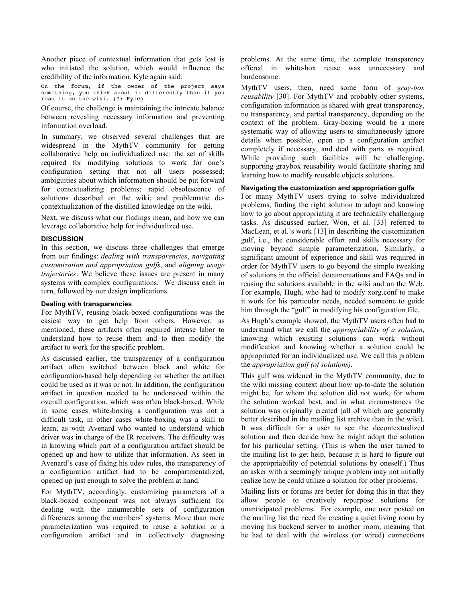Another piece of contextual information that gets lost is who initiated the solution, which would influence the credibility of the information. Kyle again said:

On the forum, if the owner of the project says something, you think about it differently than if you read it on the wiki. (I: Kyle)

Of course, the challenge is maintaining the intricate balance between revealing necessary information and preventing information overload.

In summary, we observed several challenges that are widespread in the MythTV community for getting collaborative help on individualized use: the set of skills required for modifying solutions to work for one's configuration setting that not all users possessed; ambiguities about which information should be put forward for contextualizing problems; rapid obsolescence of solutions described on the wiki; and problematic decontextualization of the distilled knowledge on the wiki.

Next, we discuss what our findings mean, and how we can leverage collaborative help for individualized use.

## **DISCUSSION**

In this section, we discuss three challenges that emerge from our findings: *dealing with transparencies*, *navigating customization and appropriation gulfs*, and *aligning usage trajectories*. We believe these issues are present in many systems with complex configurations. We discuss each in turn, followed by our design implications.

#### **Dealing with transparencies**

For MythTV, reusing black-boxed configurations was the easiest way to get help from others. However, as mentioned, these artifacts often required intense labor to understand how to reuse them and to then modify the artifact to work for the specific problem.

As discussed earlier, the transparency of a configuration artifact often switched between black and white for configuration-based help depending on whether the artifact could be used as it was or not. In addition, the configuration artifact in question needed to be understood within the overall configuration, which was often black-boxed. While in some cases white-boxing a configuration was not a difficult task, in other cases white-boxing was a skill to learn, as with Avenard who wanted to understand which driver was in charge of the IR receivers. The difficulty was in knowing which part of a configuration artifact should be opened up and how to utilize that information. As seen in Avenard's case of fixing his udev rules, the transparency of a configuration artifact had to be compartmentalized, opened up just enough to solve the problem at hand.

For MythTV, accordingly, customizing parameters of a black-boxed component was not always sufficient for dealing with the innumerable sets of configuration differences among the members' systems. More than mere parameterization was required to reuse a solution or a configuration artifact and in collectively diagnosing

problems. At the same time, the complete transparency offered in white-box reuse was unnecessary and burdensome.

MythTV users, then, need some form of *gray-box reusability* [30]. For MythTV and probably other systems, configuration information is shared with great transparency, no transparency, and partial transparency, depending on the context of the problem. Gray-boxing would be a more systematic way of allowing users to simultaneously ignore details when possible, open up a configuration artifact completely if necessary, and deal with parts as required. While providing such facilities will be challenging, supporting graybox reusability would facilitate sharing and learning how to modify reusable objects solutions.

## **Navigating the customization and appropriation gulfs**

For many MythTV users trying to solve individualized problems, finding the right solution to adopt and knowing how to go about appropriating it are technically challenging tasks. As discussed earlier, Won, et al. [33] referred to MacLean, et al.'s work [13] in describing the customization gulf, i.e., the considerable effort and skills necessary for moving beyond simple parameterization. Similarly, a significant amount of experience and skill was required in order for MythTV users to go beyond the simple tweaking of solutions in the official documentations and FAQs and in reusing the solutions available in the wiki and on the Web. For example, Hugh, who had to modify xorg.conf to make it work for his particular needs, needed someone to guide him through the "gulf" in modifying his configuration file.

As Hugh's example showed, the MythTV users often had to understand what we call the *appropriability of a solution*, knowing which existing solutions can work without modification and knowing whether a solution could be appropriated for an individualized use. We call this problem the *appropriation gulf (of solutions).* 

This gulf was widened in the MythTV community, due to the wiki missing context about how up-to-date the solution might be, for whom the solution did not work, for whom the solution worked best, and in what circumstances the solution was originally created (all of which are generally better described in the mailing list archive than in the wiki). It was difficult for a user to see the decontextualized solution and then decide how he might adopt the solution for his particular setting. (This is when the user turned to the mailing list to get help, because it is hard to figure out the appropriability of potential solutions by oneself.) Thus an asker with a seemingly unique problem may not initially realize how he could utilize a solution for other problems.

Mailing lists or forums are better for doing this in that they allow people to creatively repurpose solutions for unanticipated problems. For example, one user posted on the mailing list the need for creating a quiet living room by moving his backend server to another room, meaning that he had to deal with the wireless (or wired) connections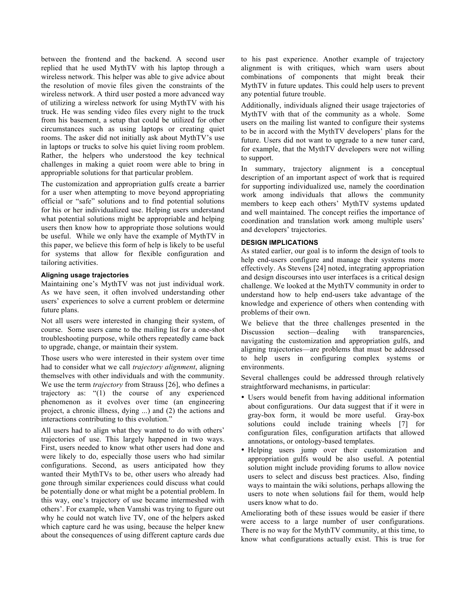between the frontend and the backend. A second user replied that he used MythTV with his laptop through a wireless network. This helper was able to give advice about the resolution of movie files given the constraints of the wireless network. A third user posted a more advanced way of utilizing a wireless network for using MythTV with his truck. He was sending video files every night to the truck from his basement, a setup that could be utilized for other circumstances such as using laptops or creating quiet rooms. The asker did not initially ask about MythTV's use in laptops or trucks to solve his quiet living room problem. Rather, the helpers who understood the key technical challenges in making a quiet room were able to bring in appropriable solutions for that particular problem.

The customization and appropriation gulfs create a barrier for a user when attempting to move beyond appropriating official or "safe" solutions and to find potential solutions for his or her individualized use. Helping users understand what potential solutions might be appropriable and helping users then know how to appropriate those solutions would be useful. While we only have the example of MythTV in this paper, we believe this form of help is likely to be useful for systems that allow for flexible configuration and tailoring activities.

# **Aligning usage trajectories**

Maintaining one's MythTV was not just individual work. As we have seen, it often involved understanding other users' experiences to solve a current problem or determine future plans.

Not all users were interested in changing their system, of course. Some users came to the mailing list for a one-shot troubleshooting purpose, while others repeatedly came back to upgrade, change, or maintain their system.

Those users who were interested in their system over time had to consider what we call *trajectory alignment*, aligning themselves with other individuals and with the community. We use the term *trajectory* from Strauss [26], who defines a trajectory as: "(1) the course of any experienced phenomenon as it evolves over time (an engineering project, a chronic illness, dying ...) and (2) the actions and interactions contributing to this evolution."

All users had to align what they wanted to do with others' trajectories of use. This largely happened in two ways. First, users needed to know what other users had done and were likely to do, especially those users who had similar configurations. Second, as users anticipated how they wanted their MythTVs to be, other users who already had gone through similar experiences could discuss what could be potentially done or what might be a potential problem. In this way, one's trajectory of use became intermeshed with others'. For example, when Vamshi was trying to figure out why he could not watch live TV, one of the helpers asked which capture card he was using, because the helper knew about the consequences of using different capture cards due

to his past experience. Another example of trajectory alignment is with critiques, which warn users about combinations of components that might break their MythTV in future updates. This could help users to prevent any potential future trouble.

Additionally, individuals aligned their usage trajectories of MythTV with that of the community as a whole. Some users on the mailing list wanted to configure their systems to be in accord with the MythTV developers' plans for the future. Users did not want to upgrade to a new tuner card, for example, that the MythTV developers were not willing to support.

In summary, trajectory alignment is a conceptual description of an important aspect of work that is required for supporting individualized use, namely the coordination work among individuals that allows the community members to keep each others' MythTV systems updated and well maintained. The concept reifies the importance of coordination and translation work among multiple users' and developers' trajectories.

## **DESIGN IMPLICATIONS**

As stated earlier, our goal is to inform the design of tools to help end-users configure and manage their systems more effectively. As Stevens [24] noted, integrating appropriation and design discourses into user interfaces is a critical design challenge. We looked at the MythTV community in order to understand how to help end-users take advantage of the knowledge and experience of others when contending with problems of their own.

We believe that the three challenges presented in the Discussion section—dealing with transparencies, navigating the customization and appropriation gulfs, and aligning trajectories—are problems that must be addressed to help users in configuring complex systems or environments.

Several challenges could be addressed through relatively straightforward mechanisms, in particular:

- Users would benefit from having additional information about configurations. Our data suggest that if it were in gray-box form, it would be more useful. Gray-box solutions could include training wheels [7] for configuration files, configuration artifacts that allowed annotations, or ontology-based templates.
- Helping users jump over their customization and appropriation gulfs would be also useful. A potential solution might include providing forums to allow novice users to select and discuss best practices. Also, finding ways to maintain the wiki solutions, perhaps allowing the users to note when solutions fail for them, would help users know what to do.

Ameliorating both of these issues would be easier if there were access to a large number of user configurations. There is no way for the MythTV community, at this time, to know what configurations actually exist. This is true for